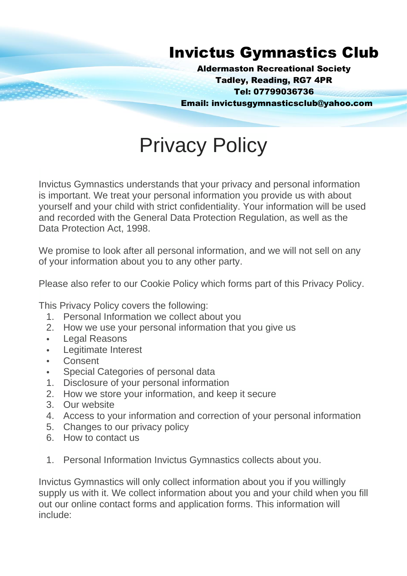## Invictus Gymnastics Club

Aldermaston Recreational Society Tadley, Reading, RG7 4PR Tel: 07799036736 Email: invictusgymnasticsclub@yahoo.com

# Privacy Policy

Invictus Gymnastics understands that your privacy and personal information is important. We treat your personal information you provide us with about yourself and your child with strict confidentiality. Your information will be used and recorded with the General Data Protection Regulation, as well as the Data Protection Act, 1998.

We promise to look after all personal information, and we will not sell on any of your information about you to any other party.

Please also refer to our Cookie Policy which forms part of this Privacy Policy.

This Privacy Policy covers the following:

- 1. Personal Information we collect about you
- 2. How we use your personal information that you give us
- Legal Reasons
- Legitimate Interest
- **Consent**
- Special Categories of personal data
- 1. Disclosure of your personal information
- 2. How we store your information, and keep it secure
- 3. Our website
- 4. Access to your information and correction of your personal information
- 5. Changes to our privacy policy
- 6. How to contact us
- 1. Personal Information Invictus Gymnastics collects about you.

Invictus Gymnastics will only collect information about you if you willingly supply us with it. We collect information about you and your child when you fill out our online contact forms and application forms. This information will include: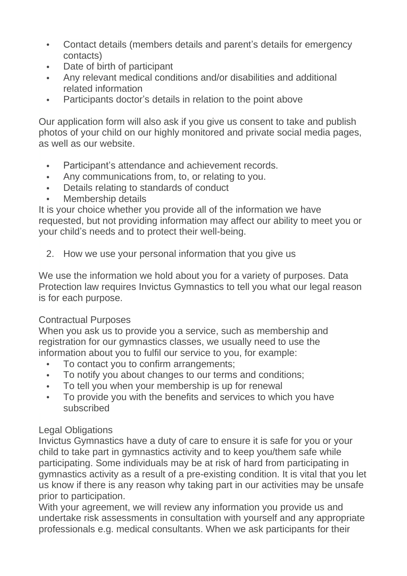- Contact details (members details and parent's details for emergency contacts)
- Date of birth of participant
- Any relevant medical conditions and/or disabilities and additional related information
- Participants doctor's details in relation to the point above

Our application form will also ask if you give us consent to take and publish photos of your child on our highly monitored and private social media pages, as well as our website.

- Participant's attendance and achievement records.
- Any communications from, to, or relating to you.
- Details relating to standards of conduct
- Membership details

It is your choice whether you provide all of the information we have requested, but not providing information may affect our ability to meet you or your child's needs and to protect their well-being.

2. How we use your personal information that you give us

We use the information we hold about you for a variety of purposes. Data Protection law requires Invictus Gymnastics to tell you what our legal reason is for each purpose.

#### Contractual Purposes

When you ask us to provide you a service, such as membership and registration for our gymnastics classes, we usually need to use the information about you to fulfil our service to you, for example:

- To contact you to confirm arrangements;
- To notify you about changes to our terms and conditions;
- To tell you when your membership is up for renewal
- To provide you with the benefits and services to which you have subscribed

### Legal Obligations

Invictus Gymnastics have a duty of care to ensure it is safe for you or your child to take part in gymnastics activity and to keep you/them safe while participating. Some individuals may be at risk of hard from participating in gymnastics activity as a result of a pre-existing condition. It is vital that you let us know if there is any reason why taking part in our activities may be unsafe prior to participation.

With your agreement, we will review any information you provide us and undertake risk assessments in consultation with yourself and any appropriate professionals e.g. medical consultants. When we ask participants for their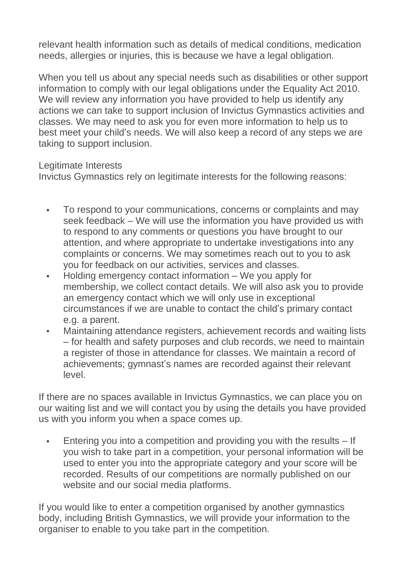relevant health information such as details of medical conditions, medication needs, allergies or injuries, this is because we have a legal obligation.

When you tell us about any special needs such as disabilities or other support information to comply with our legal obligations under the Equality Act 2010. We will review any information you have provided to help us identify any actions we can take to support inclusion of Invictus Gymnastics activities and classes. We may need to ask you for even more information to help us to best meet your child's needs. We will also keep a record of any steps we are taking to support inclusion.

Legitimate Interests

Invictus Gymnastics rely on legitimate interests for the following reasons:

- To respond to your communications, concerns or complaints and may seek feedback – We will use the information you have provided us with to respond to any comments or questions you have brought to our attention, and where appropriate to undertake investigations into any complaints or concerns. We may sometimes reach out to you to ask you for feedback on our activities, services and classes.
- Holding emergency contact information We you apply for membership, we collect contact details. We will also ask you to provide an emergency contact which we will only use in exceptional circumstances if we are unable to contact the child's primary contact e.g. a parent.
- Maintaining attendance registers, achievement records and waiting lists – for health and safety purposes and club records, we need to maintain a register of those in attendance for classes. We maintain a record of achievements; gymnast's names are recorded against their relevant level.

If there are no spaces available in Invictus Gymnastics, we can place you on our waiting list and we will contact you by using the details you have provided us with you inform you when a space comes up.

• Entering you into a competition and providing you with the results – If you wish to take part in a competition, your personal information will be used to enter you into the appropriate category and your score will be recorded. Results of our competitions are normally published on our website and our social media platforms.

If you would like to enter a competition organised by another gymnastics body, including British Gymnastics, we will provide your information to the organiser to enable to you take part in the competition.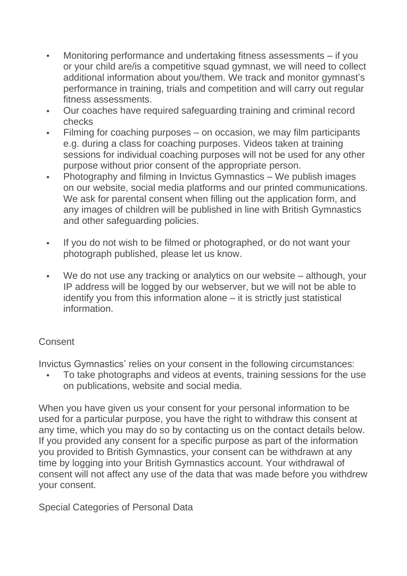- Monitoring performance and undertaking fitness assessments if you or your child are/is a competitive squad gymnast, we will need to collect additional information about you/them. We track and monitor gymnast's performance in training, trials and competition and will carry out regular fitness assessments.
- Our coaches have required safeguarding training and criminal record checks
- Filming for coaching purposes on occasion, we may film participants e.g. during a class for coaching purposes. Videos taken at training sessions for individual coaching purposes will not be used for any other purpose without prior consent of the appropriate person.
- Photography and filming in Invictus Gymnastics We publish images on our website, social media platforms and our printed communications. We ask for parental consent when filling out the application form, and any images of children will be published in line with British Gymnastics and other safeguarding policies.
- If you do not wish to be filmed or photographed, or do not want your photograph published, please let us know.
- We do not use any tracking or analytics on our website although, your IP address will be logged by our webserver, but we will not be able to identify you from this information alone – it is strictly just statistical information.

#### **Consent**

Invictus Gymnastics' relies on your consent in the following circumstances:

• To take photographs and videos at events, training sessions for the use on publications, website and social media.

When you have given us your consent for your personal information to be used for a particular purpose, you have the right to withdraw this consent at any time, which you may do so by contacting us on the contact details below. If you provided any consent for a specific purpose as part of the information you provided to British Gymnastics, your consent can be withdrawn at any time by logging into your British Gymnastics account. Your withdrawal of consent will not affect any use of the data that was made before you withdrew your consent.

Special Categories of Personal Data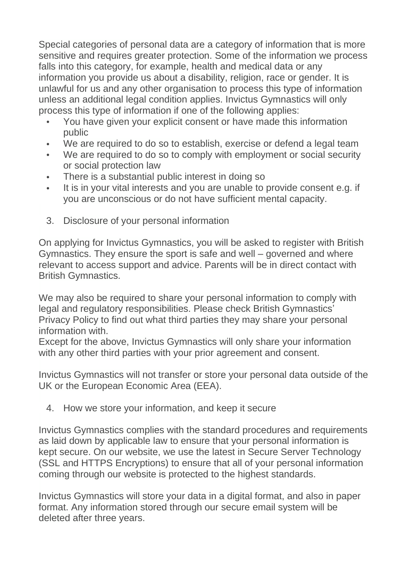Special categories of personal data are a category of information that is more sensitive and requires greater protection. Some of the information we process falls into this category, for example, health and medical data or any information you provide us about a disability, religion, race or gender. It is unlawful for us and any other organisation to process this type of information unless an additional legal condition applies. Invictus Gymnastics will only process this type of information if one of the following applies:

- You have given your explicit consent or have made this information public
- We are required to do so to establish, exercise or defend a legal team
- We are required to do so to comply with employment or social security or social protection law
- There is a substantial public interest in doing so
- It is in your vital interests and you are unable to provide consent e.g. if you are unconscious or do not have sufficient mental capacity.
- 3. Disclosure of your personal information

On applying for Invictus Gymnastics, you will be asked to register with British Gymnastics. They ensure the sport is safe and well – governed and where relevant to access support and advice. Parents will be in direct contact with British Gymnastics.

We may also be required to share your personal information to comply with legal and regulatory responsibilities. Please check British Gymnastics' Privacy Policy to find out what third parties they may share your personal information with.

Except for the above, Invictus Gymnastics will only share your information with any other third parties with your prior agreement and consent.

Invictus Gymnastics will not transfer or store your personal data outside of the UK or the European Economic Area (EEA).

4. How we store your information, and keep it secure

Invictus Gymnastics complies with the standard procedures and requirements as laid down by applicable law to ensure that your personal information is kept secure. On our website, we use the latest in Secure Server Technology (SSL and HTTPS Encryptions) to ensure that all of your personal information coming through our website is protected to the highest standards.

Invictus Gymnastics will store your data in a digital format, and also in paper format. Any information stored through our secure email system will be deleted after three years.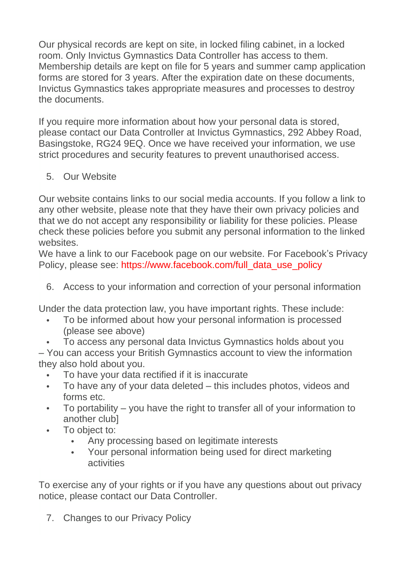Our physical records are kept on site, in locked filing cabinet, in a locked room. Only Invictus Gymnastics Data Controller has access to them. Membership details are kept on file for 5 years and summer camp application forms are stored for 3 years. After the expiration date on these documents, Invictus Gymnastics takes appropriate measures and processes to destroy the documents.

If you require more information about how your personal data is stored, please contact our Data Controller at Invictus Gymnastics, 292 Abbey Road, Basingstoke, RG24 9EQ. Once we have received your information, we use strict procedures and security features to prevent unauthorised access.

5. Our Website

Our website contains links to our social media accounts. If you follow a link to any other website, please note that they have their own privacy policies and that we do not accept any responsibility or liability for these policies. Please check these policies before you submit any personal information to the linked websites.

We have a link to our Facebook page on our website. For Facebook's Privacy Policy, please see: [https://www.facebook.com/full\\_data\\_use\\_policy](https://www.facebook.com/full_data_use_policy)

6. Access to your information and correction of your personal information

Under the data protection law, you have important rights. These include:

- To be informed about how your personal information is processed (please see above)
- To access any personal data Invictus Gymnastics holds about you

– You can access your British Gymnastics account to view the information they also hold about you.

- To have your data rectified if it is inaccurate
- To have any of your data deleted this includes photos, videos and forms etc.
- To portability you have the right to transfer all of your information to another club]
- To object to:
	- Any processing based on legitimate interests
	- Your personal information being used for direct marketing activities

To exercise any of your rights or if you have any questions about out privacy notice, please contact our Data Controller.

7. Changes to our Privacy Policy